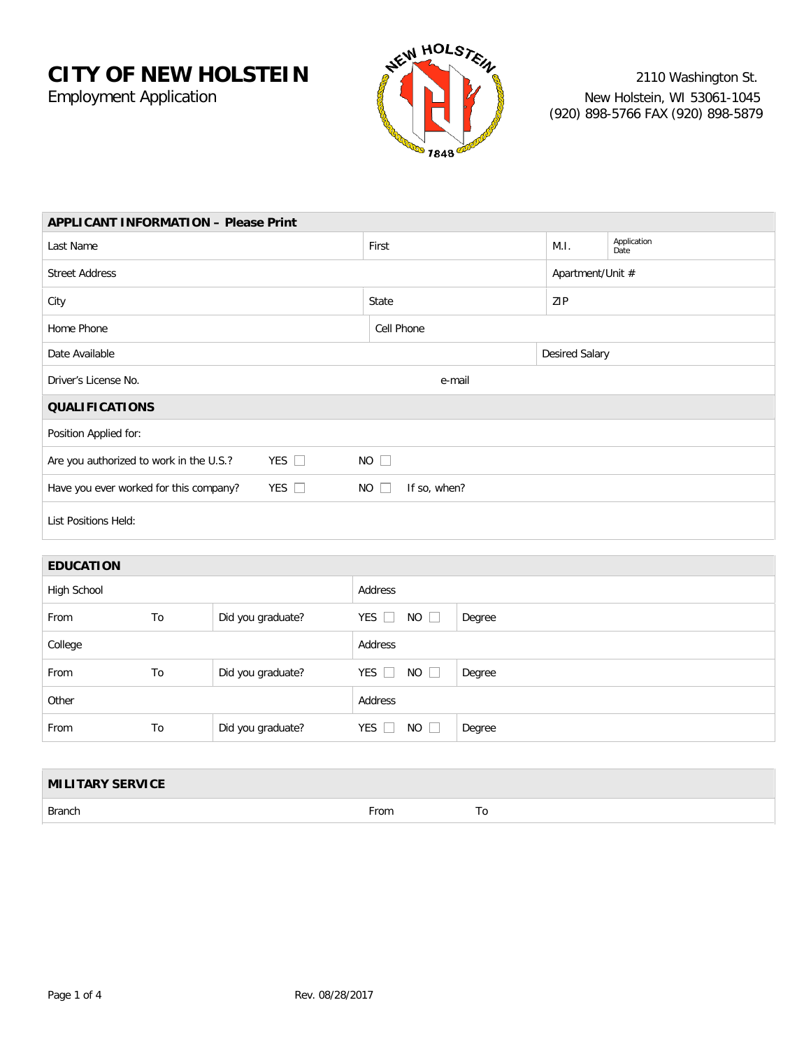

| <b>APPLICANT INFORMATION - Please Print</b>                                               |    |                   |            |             |        |                       |                     |  |  |
|-------------------------------------------------------------------------------------------|----|-------------------|------------|-------------|--------|-----------------------|---------------------|--|--|
| Last Name                                                                                 |    |                   | First      |             |        | M.I.                  | Application<br>Date |  |  |
| <b>Street Address</b>                                                                     |    |                   |            |             |        |                       | Apartment/Unit #    |  |  |
| City                                                                                      |    |                   | State      |             |        | ZIP                   |                     |  |  |
| Home Phone                                                                                |    |                   | Cell Phone |             |        |                       |                     |  |  |
| Date Available                                                                            |    |                   |            |             |        | <b>Desired Salary</b> |                     |  |  |
| Driver's License No.                                                                      |    |                   |            | e-mail      |        |                       |                     |  |  |
| <b>QUALIFICATIONS</b>                                                                     |    |                   |            |             |        |                       |                     |  |  |
| Position Applied for:                                                                     |    |                   |            |             |        |                       |                     |  |  |
| $NO$ $\square$<br>YES $\Box$<br>Are you authorized to work in the U.S.?                   |    |                   |            |             |        |                       |                     |  |  |
| YES $\square$<br>Have you ever worked for this company?<br>$NO$ $\square$<br>If so, when? |    |                   |            |             |        |                       |                     |  |  |
| <b>List Positions Held:</b>                                                               |    |                   |            |             |        |                       |                     |  |  |
|                                                                                           |    |                   |            |             |        |                       |                     |  |  |
| <b>EDUCATION</b>                                                                          |    |                   |            |             |        |                       |                     |  |  |
| High School                                                                               |    | Address           |            |             |        |                       |                     |  |  |
| From                                                                                      | To | Did you graduate? | YES $\Box$ | $NO$ $\Box$ | Degree |                       |                     |  |  |
| College                                                                                   |    | Address           |            |             |        |                       |                     |  |  |
| From                                                                                      | To | Did you graduate? | YES $\Box$ | $NO$ $\Box$ | Degree |                       |                     |  |  |
| Other                                                                                     |    |                   | Address    |             |        |                       |                     |  |  |

| <b>MILITARY SERVICE</b> |      |  |
|-------------------------|------|--|
| Branch                  | From |  |

From To Did you graduate? YES NO Degree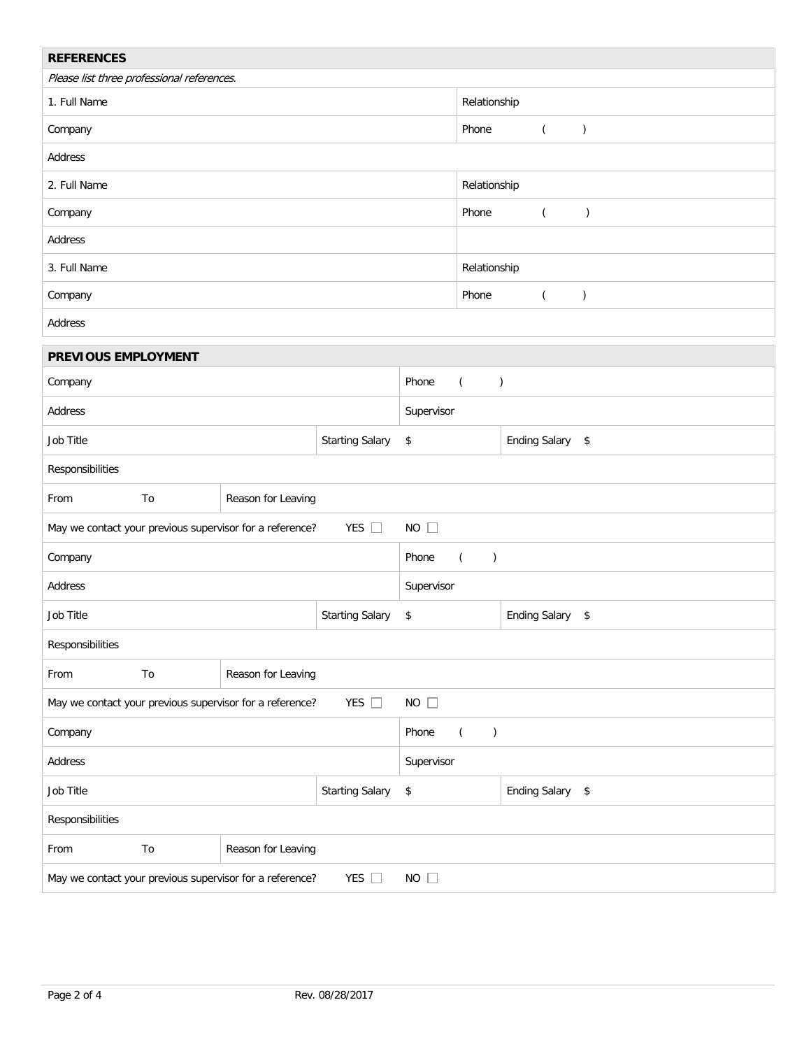| <b>REFERENCES</b>                                                         |                          |                    |                                    |                                    |                                      |                           |                  |               |
|---------------------------------------------------------------------------|--------------------------|--------------------|------------------------------------|------------------------------------|--------------------------------------|---------------------------|------------------|---------------|
| Please list three professional references.                                |                          |                    |                                    |                                    |                                      |                           |                  |               |
| 1. Full Name                                                              |                          |                    |                                    |                                    | Relationship                         |                           |                  |               |
| Company                                                                   |                          |                    |                                    |                                    | Phone                                | $\left($<br>$\mathcal{C}$ |                  |               |
| Address                                                                   |                          |                    |                                    |                                    |                                      |                           |                  |               |
| 2. Full Name                                                              |                          |                    |                                    | Relationship                       |                                      |                           |                  |               |
| Company                                                                   |                          |                    |                                    |                                    | Phone<br>$\overline{(\ }$<br>$\big)$ |                           |                  |               |
| Address                                                                   |                          |                    |                                    |                                    |                                      |                           |                  |               |
| 3. Full Name                                                              |                          |                    |                                    | Relationship                       |                                      |                           |                  |               |
| Company                                                                   |                          |                    |                                    |                                    | Phone                                |                           | $\left($         | $\mathcal{C}$ |
| Address                                                                   |                          |                    |                                    |                                    |                                      |                           |                  |               |
| PREVIOUS EMPLOYMENT                                                       |                          |                    |                                    |                                    |                                      |                           |                  |               |
| Company                                                                   |                          |                    |                                    | Phone<br>$\left($<br>$\mathcal{C}$ |                                      |                           |                  |               |
| Address                                                                   |                          |                    |                                    | Supervisor                         |                                      |                           |                  |               |
| Job Title                                                                 |                          |                    | <b>Starting Salary</b>             | \$                                 | <b>Ending Salary</b><br>\$           |                           |                  |               |
| Responsibilities                                                          |                          |                    |                                    |                                    |                                      |                           |                  |               |
| From                                                                      | To<br>Reason for Leaving |                    |                                    |                                    |                                      |                           |                  |               |
| YES $\square$<br>May we contact your previous supervisor for a reference? |                          |                    |                                    | $NO$ $\Box$                        |                                      |                           |                  |               |
| Company                                                                   |                          |                    | Phone<br>$\mathcal{C}$<br>$\left($ |                                    |                                      |                           |                  |               |
| Address                                                                   |                          |                    | Supervisor                         |                                    |                                      |                           |                  |               |
| Job Title                                                                 | <b>Starting Salary</b>   |                    | \$                                 |                                    | <b>Ending Salary</b>                 |                           | \$               |               |
| Responsibilities                                                          |                          |                    |                                    |                                    |                                      |                           |                  |               |
| From                                                                      | To<br>Reason for Leaving |                    |                                    |                                    |                                      |                           |                  |               |
| YES $\square$<br>May we contact your previous supervisor for a reference? |                          |                    |                                    | $NO$ $\Box$                        |                                      |                           |                  |               |
| Company                                                                   |                          |                    |                                    | Phone<br>$\left($<br>$\mathcal{C}$ |                                      |                           |                  |               |
| Address                                                                   |                          |                    |                                    | Supervisor                         |                                      |                           |                  |               |
| Job Title<br><b>Starting Salary</b>                                       |                          |                    | \$                                 |                                    | <b>Ending Salary</b>                 |                           | $$\mathfrak{s}$$ |               |
| Responsibilities                                                          |                          |                    |                                    |                                    |                                      |                           |                  |               |
| From                                                                      | To                       | Reason for Leaving |                                    |                                    |                                      |                           |                  |               |
| May we contact your previous supervisor for a reference?<br>YES $\square$ |                          |                    |                                    | $NO$ $\Box$                        |                                      |                           |                  |               |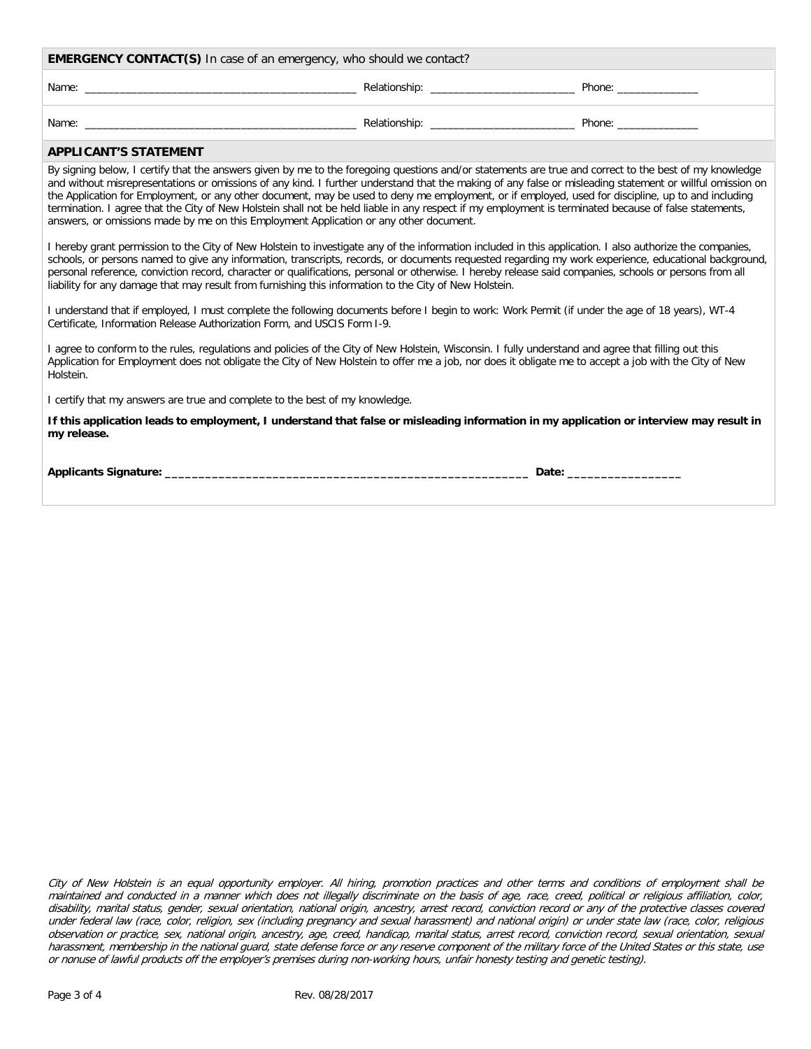| <b>EMERGENCY CONTACT(S)</b> In case of an emergency, who should we contact? |               |        |  |  |  |
|-----------------------------------------------------------------------------|---------------|--------|--|--|--|
| Name:                                                                       | Relationship: | Phone: |  |  |  |
| Name:                                                                       | Relationship: | Phone: |  |  |  |

# **APPLICANT'S STATEMENT**

By signing below, I certify that the answers given by me to the foregoing questions and/or statements are true and correct to the best of my knowledge and without misrepresentations or omissions of any kind. I further understand that the making of any false or misleading statement or willful omission on the Application for Employment, or any other document, may be used to deny me employment, or if employed, used for discipline, up to and including termination. I agree that the City of New Holstein shall not be held liable in any respect if my employment is terminated because of false statements, answers, or omissions made by me on this Employment Application or any other document.

I hereby grant permission to the City of New Holstein to investigate any of the information included in this application. I also authorize the companies, schools, or persons named to give any information, transcripts, records, or documents requested regarding my work experience, educational background, personal reference, conviction record, character or qualifications, personal or otherwise. I hereby release said companies, schools or persons from all liability for any damage that may result from furnishing this information to the City of New Holstein.

I understand that if employed, I must complete the following documents before I begin to work: Work Permit (if under the age of 18 years), WT-4 Certificate, Information Release Authorization Form, and USCIS Form I-9.

I agree to conform to the rules, regulations and policies of the City of New Holstein, Wisconsin. I fully understand and agree that filling out this Application for Employment does not obligate the City of New Holstein to offer me a job, nor does it obligate me to accept a job with the City of New Holstein.

I certify that my answers are true and complete to the best of my knowledge.

**If this application leads to employment, I understand that false or misleading information in my application or interview may result in my release.**

**Applicants Signature: \_\_\_\_\_\_\_\_\_\_\_\_\_\_\_\_\_\_\_\_\_\_\_\_\_\_\_\_\_\_\_\_\_\_\_\_\_\_\_\_\_\_\_\_\_\_\_\_\_\_\_\_\_\_ Date: \_\_\_\_\_\_\_\_\_\_\_\_\_\_\_\_\_**

City of New Holstein is an equal opportunity employer. All hiring, promotion practices and other terms and conditions of employment shall be maintained and conducted in a manner which does not illegally discriminate on the basis of age, race, creed, political or religious affiliation, color, disability, marital status, gender, sexual orientation, national origin, ancestry, arrest record, conviction record or any of the protective classes covered under federal law (race, color, religion, sex (including pregnancy and sexual harassment) and national origin) or under state law (race, color, religious observation or practice, sex, national origin, ancestry, age, creed, handicap, marital status, arrest record, conviction record, sexual orientation, sexual harassment, membership in the national guard, state defense force or any reserve component of the military force of the United States or this state, use or nonuse of lawful products off the employer's premises during non-working hours, unfair honesty testing and genetic testing).